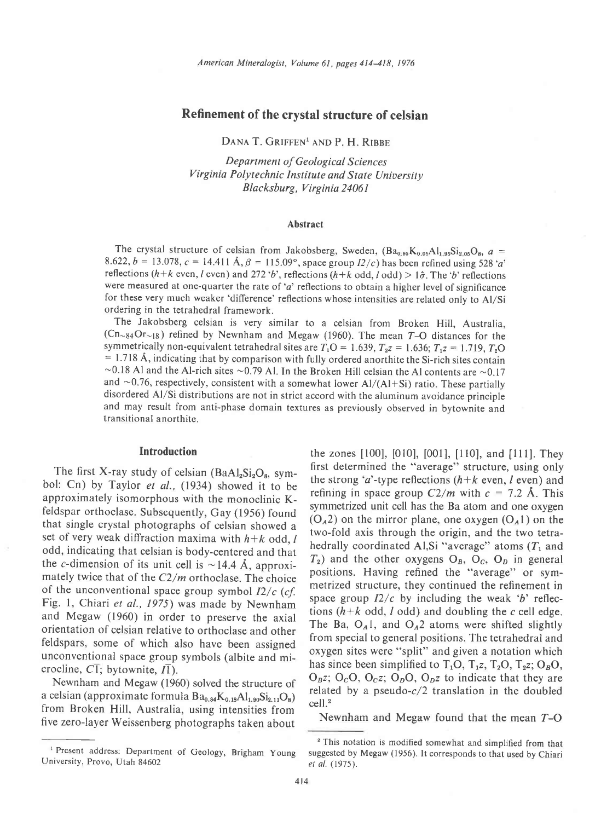# Refinement of the crystal structure of celsian

DANA T. GRIFFEN<sup>1</sup> AND P. H. RIBBE

Department of Geological Sciences Virginia Polytechnic Institute and State University Blacksburg, Virginia 24061

#### Abstract

The crystal structure of celsian from Jakobsberg, Sweden,  $(Ba_{0.95}K_{0.05}Al_{1.95}Si_{2.05}O_8, a =$ 8.622,  $b = 13.078$ ,  $c = 14.411$  Å,  $\beta = 115.09^{\circ}$ , space group  $I2/c$ ) has been refined using 528 'a' reflections (h+k even, l even) and 272 'b', reflections (h+k odd, l odd) > 1 $\hat{\sigma}$ . The 'b' reflections were measured at one-quarter the rate of ' $a$ ' reflections to obtain a higher level of significance for these very much weaker 'difference' reflections whose intensities are related only to Al/Si ordering in the tetrahedral framework.

The Jakobsberg celsian is very similar to a celsian from Broken Hill, Australia,  $(Cn_{84}Or_{18})$  refined by Newnham and Megaw (1960). The mean T-O distances for the symmetrically non-equivalent tetrahedral sites are  $T_1O = 1.639$ ,  $T_2 = 1.636$ ;  $T_1z = 1.719$ ,  $T_2O$  $= 1.718$  Å, indicating that by comparison with fully ordered anorthite the Si-rich sites contain  $\sim$ 0.18 Al and the Al-rich sites  $\sim$ 0.79 Al. In the Broken Hill celsian the Al contents are  $\sim$ 0.17 and  $\sim$  0.76, respectively, consistent with a somewhat lower Al/(Al+Si) ratio. These partially disordered Al/Si distributions are not in strict accord with the aluminum avoidance principle and may result from anti-phase domain textures as previously observed in bytownite and transitional anorthite.

#### Introduction

The first X-ray study of celsian (BaAl<sub>2</sub>Si<sub>2</sub>O<sub>8</sub>, symbol: Cn) by Taylor et al., (1934) showed it to be approximately isomorphous with the monoclinic Kfeldspar orthoclase. Subsequently, Gay (1956) found that single crystal photographs of celsian showed a set of very weak diffraction maxima with  $h+k$  odd,  $l$ odd, indicating that celsian is body-centered and that the c-dimension of its unit cell is  $\sim$  14.4 Å, approximately twice that of the  $C2/m$  orthoclase. The choice of the unconventional space group symbol  $I2/c$  (cf. Fig. 1, Chiari et al., 1975) was made by Newnham and Megaw (1960) in order to preserve the axial orientation of celsian relative to orthoclase and other feldspars, some of which also have been assigned unconventional space group symbols (albite and microcline,  $CI$ ; bytownite,  $I\overline{I}$ ).

Newnham and Megaw (1960) solved the structure of a celsian (approximate formula  $Ba_{0.84}K_{0.18}Al_{1.90}Si_{2.11}O_8$ ) from Broken Hill, Australia, using intensities from five zero-layer Weissenberg photographs taken about

the zones [100], [010], [001], [110], and [111]. They first determined the "average" structure, using only the strong 'a'-type reflections  $(h+k$  even, l even) and refining in space group  $C2/m$  with  $c = 7.2$  Å. This symmetrized unit cell has the Ba atom and one oxygen  $(O_A 2)$  on the mirror plane, one oxygen  $(O_A 1)$  on the two-fold axis through the origin, and the two tetrahedrally coordinated Al, Si "average" atoms  $(T_1$  and  $T_2$ ) and the other oxygens O<sub>B</sub>, O<sub>C</sub>, O<sub>D</sub> in general positions. Having refined the "average" or symmetrized structure, they continued the refinement in space group  $I2/c$  by including the weak 'b' reflections  $(h+k \text{ odd}, l \text{ odd})$  and doubling the c cell edge. The Ba,  $O_A 1$ , and  $O_A 2$  atoms were shifted slightly from special to general positions. The tetrahedral and oxygen sites were "split" and given a notation which has since been simplified to  $T_1O$ ,  $T_1z$ ,  $T_2O$ ,  $T_2z$ ;  $O_8O$ ,  $O<sub>B</sub>z$ ;  $O<sub>C</sub>O$ ,  $O<sub>C</sub>z$ ;  $O<sub>D</sub>O$ ,  $O<sub>D</sub>z$  to indicate that they are related by a pseudo- $c/2$  translation in the doubled cell.'

Newnham and Megaw found that the mean  $T-O$ 

University, Provo, Utah 84602

This notation is modified somewhat and simplified from that<br>
<sup>2</sup> This notation is modified somewhat and simplified from that<br>
iversity, Provo, Utah 84602<br>
<sup>2</sup> *tal.* (1975).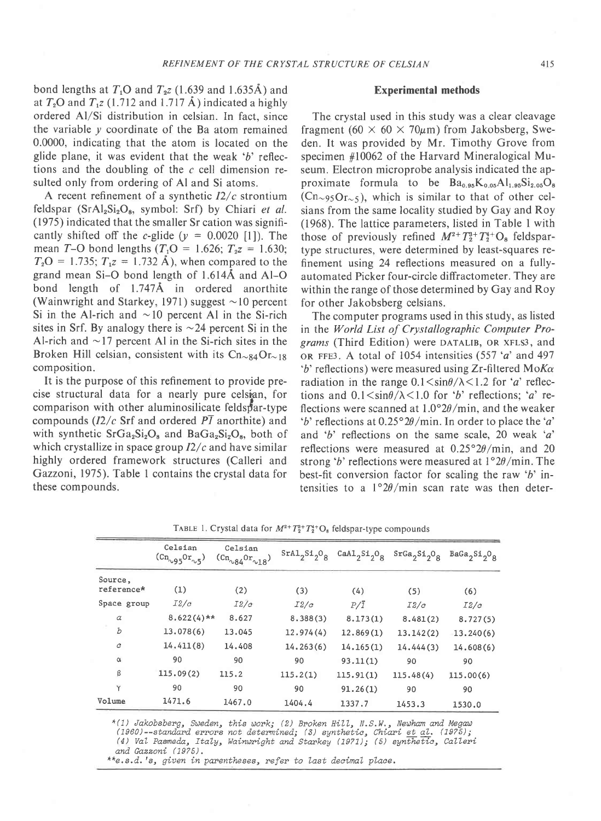bond lengths at  $T_1O$  and  $T_2Z$  (1.639 and 1.635Å) and at  $T_2$ O and  $T_1$ z (1.712 and 1.717 Å) indicated a highly ordered Al/Si distribution in celsian. In fact, since the variable  $\nu$  coordinate of the Ba atom remained 0.0000, indicating that the atom is located on the glide plane, it was evident that the weak  $b'$  reflections and the doubling of the  $c$  cell dimension resulted only from ordering of Al and Si atoms.

A recent refinement of a synthetic  $I2/c$  strontium feldspar ( $SrAl<sub>2</sub>Si<sub>2</sub>O<sub>8</sub>$ , symbol: Srf) by Chiari et al. (1975) indicated that the smaller Sr cation was significantly shifted off the c-glide ( $y = 0.0020$  [1]). The mean T-O bond lengths ( $T_1O = 1.626$ ;  $T_2z = 1.630$ ;  $T_2O = 1.735$ ;  $T_1z = 1.732 \text{ Å}$ ), when compared to the grand mean Si-O bond length of l.6l4A and Al-O bond length of  $1.747\text{\AA}$  in ordered anorthite (Wainwright and Starkey, 1971) suggest  $\sim$ 10 percent Si in the Al-rich and  $\sim$  10 percent Al in the Si-rich sites in Srf. By analogy there is  $\sim$  24 percent Si in the Al-rich and  $\sim$ 17 percent Al in the Si-rich sites in the Broken Hill celsian, consistent with its  $\text{Cn}_{84}\text{Or}_{18}$ composition.

It is the purpose of this refinement to provide precise structural data for a nearly pure celsian, for comparison with other aluminosilicate feldsfar-type compounds ( $I2/c$  Srf and ordered  $\overline{PI}$  anorthite) and with synthetic  $S_{\rm r}Ga_2Si_2O_8$  and  $BaGa_2Si_2O_8$ , both of which crystallize in space group  $I2/c$  and have similar highly ordered framework structures (Calleri and Gazzoni, 1975). Table I contains the crystal data for these compounds.

#### Experimental methods

The crystal used in this study was a clear cleavage fragment (60  $\times$  60  $\times$  70 $\mu$ m) from Jakobsberg, Sweden. It was provided by Mr. Timothy Grove from specimen #10062 of the Harvard Mineralogical Museum. Electron microprobe analysis indicated the approximate formula to be  $Ba_{0.95}K_{0.05}Al_{1.95}Si_{2.05}O_8$  $(Cn_{\sim}95Or_{\sim}5)$ , which is similar to that of other celsians from the same locality studied by Gay and Roy (1968). The lattice parameters, listed in Table I with those of previously refined  $M^{2+}T_2^{3+}T_2^{4+}O_8$  feldspartype structures, were determined by least-squares refinement using 24 reflections measured on a fullyautomated Picker four-circle diffractometer. They are within the range of those determined by Gay and Roy for other Jakobsberg celsians.

The computer programs used in this study, as listed in the World List of Crystallographic Computer Programs (Third Edition) were DATALIB, oR xFLS3, and OR FFE3. A total of 1054 intensities  $(557 'a'$  and 497 'b' reflections) were measured using Zr-filtered Mo $K_{\alpha}$ radiation in the range  $0.1 \le \sin\theta / \lambda \le 1.2$  for 'a' reflections and  $0.1 \le \sin\theta/\lambda \le 1.0$  for 'b' reflections; 'a' reflections were scanned at  $1.0^{\circ}2\theta/\text{min}$ , and the weaker 'b' reflections at  $0.25^{\circ}2\theta$ /min. In order to place the 'a' and 'b' reflections on the same scale, 20 weak 'a' reflections were measured at  $0.25^{\circ}2\theta/\text{min}$ , and 20 strong 'b' reflections were measured at  $1°2θ$ /min. The best-fit conversion factor for scaling the raw 'b' intensities to a  $1^{\circ}2\theta/\text{min}$  scan rate was then deter-

|                  | Celsian<br>$\left(\text{cn}_{\gamma 95}\text{Or}_{\gamma 5}\right)$ | Celsian<br>$\frac{\text{(Cn}_{184}\text{or}_{18}\text{)}}{}$ | $Sral2Si2O8$ | $CaA1_2Si_2O_8$  | $s_{r}$ Ga <sub>2</sub> Si <sub>2</sub> O <sub>8</sub> | $BaGa_2Si_2O_8$ |
|------------------|---------------------------------------------------------------------|--------------------------------------------------------------|--------------|------------------|--------------------------------------------------------|-----------------|
| Source,          |                                                                     |                                                              |              |                  |                                                        |                 |
| reference*       | (1)                                                                 | (2)                                                          | (3)          | (4)              | (5)                                                    | (6)             |
| Space group      | I2/c                                                                | I2/c                                                         | I2/c         | $P/\overline{1}$ | I2/c                                                   | I2/c            |
| α                | $8.622(4)$ **                                                       | 8.627                                                        | 8.388(3)     | 8.173(1)         | 8.481(2)                                               | 8.727(5)        |
| Ъ                | 13.078(6)                                                           | 13.045                                                       | 12.974(4)    | 12.869(1)        | 13.142(2)                                              | 13.240(6)       |
| $\boldsymbol{c}$ | 14,411(8)                                                           | 14,408                                                       | 14.263(6)    | 14.165(1)        | 14.444(3)                                              | 14.608(6)       |
| $\alpha$         | 90                                                                  | 90                                                           | 90           | 93.11(1)         | 90                                                     | 90              |
| β                | 115.09(2)                                                           | 115.2                                                        | 115.2(1)     | 115.91(1)        | 115.48(4)                                              | 115.00(6)       |
| Υ                | 90                                                                  | 90                                                           | 90           | 91.26(1)         | 90                                                     | 90              |
| Volume           | 1471.6                                                              | 1467.0                                                       | 1404.4       | 1337.7           | 1453.3                                                 | 1530.0          |

TABLE 1. Crystal data for  $M^{2+}T_2^{4+}T_2^{4+}O_8$  feldspar-type compounds

\*(1) Jakobsberg, Sweden, this work; (2) Broken Hill, N.S.W., Newham and Megaw<br>(1960)--standard errors not determined; (3) synthetic, Chiari et al. (1975); (4) Val Pasmeda, Italy, Wainwright and Starkey (1971); (5) synthetic, Calleri

and Gazzoni (1975).

\*\*e.s.d.'s, given in parentheses, refer to last decimal place.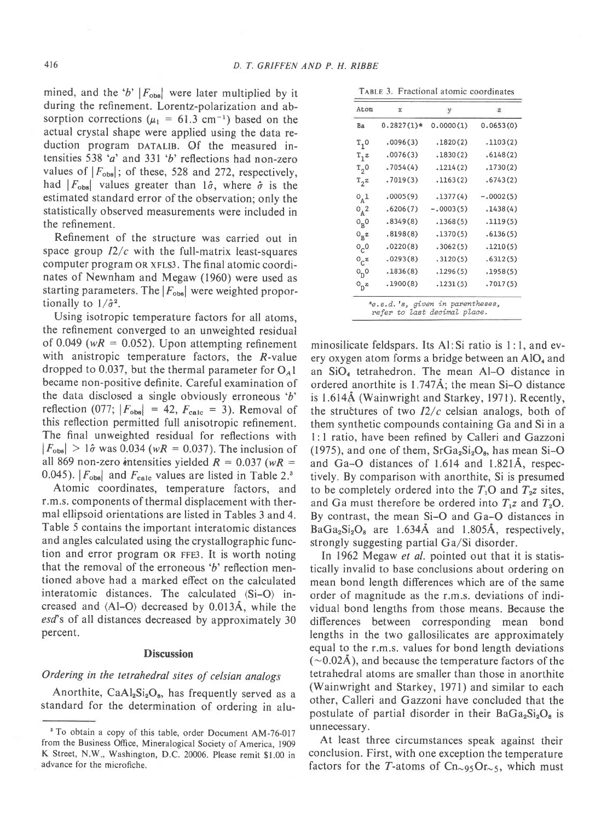mined, and the 'b'  $|F_{obs}|$  were later multiplied by it during the refinement. Lorentz-polarization and absorption corrections ( $\mu_1 = 61.3$  cm<sup>-1</sup>) based on the actual crystal shape were applied using the data reduction program DATALIB. Of the measured intensities 538'a' and 331 'b' reflections had non-zero values of  $|F_{obs}|$ ; of these, 528 and 272, respectively, had  $|F_{obs}|$  values greater than  $\hat{i}$ , where  $\hat{\sigma}$  is the estimated standard error of the observation; only the statistically observed measurements were included in the refinement.

Refinement of the structure was carried out in space group  $I2/c$  with the full-matrix least-squares computer program oR xFLS3. The final atomic coordinates of Newnham and Megaw (1960) were used as starting parameters. The  $|F_{\text{obs}}|$  were weighted proportionally to  $1/\hat{\sigma}^2$ .

Using isotropic temperature factors for all atoms, the refinement converged to an unweighted residual of 0.049 ( $wR = 0.052$ ). Upon attempting refinement with anistropic temperature factors, the R-value dropped to 0.037, but the thermal parameter for  $O<sub>A</sub>1$ became non-positive definite. Careful examination of the data disclosed a single obviously erroneous 'b' reflection (077;  $|F_{\text{obs}}| = 42$ ,  $F_{\text{calc}} = 3$ ). Removal of this reflection permitted full anisotropic refinement. The final unweighted residual for reflections with  $|F_{\text{obs}}| > 1\hat{\sigma}$  was 0.034 (wR = 0.037). The inclusion of all 869 non-zero intensities yielded  $R = 0.037$  (wR = 0.045).  $|F_{\text{obs}}|$  and  $F_{\text{calc}}$  values are listed in Table 2.<sup>3</sup>

Atomic coordinates, temperature factors, and r.m.s. components of thermal displacement with thermal ellipsoid orientations are listed in Tables 3 and 4. Table 5 contains the important interatomic distances and angles calculated using the crystallographic function and error program oR FFE3. It is worth noting that the removal of the erroneous 'b' reflection mentioned above had a marked effect on the calculated interatomic distances. The calculated (Si-O) increased and (Al-O) decreased by 0.013A, while the esd's of all distances decreased by approximately 30 percent.

#### **Discussion**

### Ordering in the tetrahedral sites of celsian analogs

Anorthite,  $CaAl<sub>2</sub>Si<sub>2</sub>O<sub>8</sub>$ , has frequently served as a standard for the determination of ordering in alu-

|  |  |  |  |  | TABLE 3. Fractional atomic coordinates |
|--|--|--|--|--|----------------------------------------|
|--|--|--|--|--|----------------------------------------|

| $0.2827(1)$ *<br>0.0000(1)<br>.1820(2)<br>.1830(2)<br>.1214(2) | 0.0653(0)<br>.1103(2) |                                                                                          |
|----------------------------------------------------------------|-----------------------|------------------------------------------------------------------------------------------|
|                                                                |                       |                                                                                          |
|                                                                |                       |                                                                                          |
|                                                                | .6148(2)              |                                                                                          |
|                                                                | .1730(2)              |                                                                                          |
| .1163(2)                                                       | .6743(2)              |                                                                                          |
| .1377(4)                                                       | $-.0002(5)$           |                                                                                          |
| $-.0003(5)$                                                    | .1438(4)              |                                                                                          |
| .1368(5)                                                       | .1119(5)              |                                                                                          |
| .1370(5)                                                       | .6136(5)              |                                                                                          |
| .3062(5)                                                       | .1210(5)              |                                                                                          |
| .3120(5)                                                       | .6312(5)              |                                                                                          |
|                                                                | .1958(5)              |                                                                                          |
|                                                                | .7017(5)              |                                                                                          |
|                                                                |                       | .1296(5)<br>.1231(5)<br>*e.s.d.'s, given in parentheses,<br>refer to last decimal place. |

minosilicate feldspars. Its Al:Si ratio is l:1, and every oxygen atom forms a bridge between an  $AIO<sub>4</sub>$  and an SiO<sub>4</sub> tetrahedron. The mean Al-O distance in ordered anorthite is 1.747A; the mean Si-O distance is 1.614Å (Wainwright and Starkey, 1971). Recently, the structures of two  $I2/c$  celsian analogs, both of them synthetic compounds containing Ga and Si in a l: I ratio, have been refined by Calleri and Gazzoni (1975), and one of them,  $SrGa<sub>2</sub>Si<sub>2</sub>O<sub>8</sub>$ , has mean Si-O and Ga-O distances of 1.614 and l.82lA, respectively. By comparison with anorthite, Si is presumed to be completely ordered into the  $T_1O$  and  $T_2z$  sites, and Ga must therefore be ordered into  $T_1z$  and  $T_2O$ . By contrast, the mean Si-O and Ga-O distances in  $BaGa<sub>2</sub>Si<sub>2</sub>O<sub>8</sub>$  are 1.634Å and 1.805Å, respectively, strongly suggesting partial  $Ga/Si$  disorder.

In 1962 Megaw et al. pointed out that it is statistically invalid to base conclusions about ordering on mean bond length differences which are of the same order of magnitude as the r.m.s. deviations of individual bond lengths from those means. Because the differences between corresponding mean bond lengths in the two gallosilicates are approximately equal to the r.m.s. values for bond length deviations  $(\sim 0.02$ A), and because the temperature factors of the tetrahedral atoms are smaller than those in anorthite (Wainwright and Starkey, l97l) and similar to each other, Calleri and Gazzoni have concluded that the postulate of partial disorder in their  $BaGa<sub>2</sub>Si<sub>2</sub>O<sub>8</sub>$  is unnecessary.

At least three circumstances speak against their conclusion. First, with one exception the temperature factors for the T-atoms of  $Cn_{95}Or_{5}$ , which must

<sup>3</sup> To obtain a copy of this table, order Document AM-76-017 from the Business Office, Mineralogical Society of America, 1909 K Street, N.W, Washington, D.C. 20006. Please remit \$1.00 in advance for the microfiche.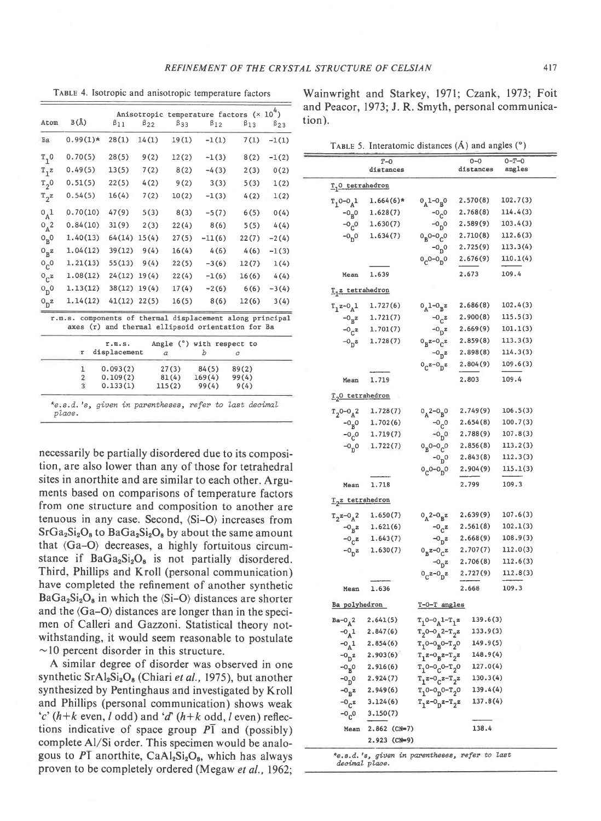TABLE 4. Isotropic and anisotropic temperature factors

|                    |                                                                                                                |                        |              |                 |                                  | Anisotropic temperature factors $(x 104)$ |              |
|--------------------|----------------------------------------------------------------------------------------------------------------|------------------------|--------------|-----------------|----------------------------------|-------------------------------------------|--------------|
| Atom               | B(A)                                                                                                           | $\beta_{11}$           | $\beta_{22}$ | $\beta$ 33      | $\beta_{12}$                     | $\beta_{13}$                              | $\beta_{23}$ |
| Ba                 | $0.99(1)*$                                                                                                     | 28(1)                  | 14(1)        | 19(1)           | $-1(1)$                          | 7(1)                                      | $-1(1)$      |
| $T_1$ 0            | 0.70(5)                                                                                                        | 28(5)                  | 9(2)         | 12(2)           | $-1(3)$                          | 8(2)                                      | $-1(2)$      |
| $T_1$ z            | 0.49(5)                                                                                                        | 13(5)                  | 7(2)         | 8(2)            | $-4(3)$                          | 2(3)                                      | 0(2)         |
| $T_2^0$            | 0.51(5)                                                                                                        | 22(5)                  | 4(2)         | 9(2)            | 3(3)                             | 5(3)                                      | 1(2)         |
| $T_2^z$            | 0.54(5)                                                                                                        | 16(4)                  | 7(2)         | 10(2)           | $-1(3)$                          | 4(2)                                      | 1(2)         |
| 0 <sub>A</sub> 1   | 0.70(10)                                                                                                       | 47(9)                  | 5(3)         | 8(3)            | $-5(7)$                          | 6(5)                                      | 0(4)         |
| $0_A^2$            | 0.84(10)                                                                                                       | 31(9)                  | 2(3)         | 22(4)           | 8(6)                             | 5(5)                                      | 4(4)         |
| $0_B^0$            | 1.40(13)                                                                                                       | 64(14)                 | 15(4)        | 27(5)           | $-11(6)$                         | 22(7)                                     | $-2(4)$      |
| $0_B^2$            | 1.04(12)                                                                                                       | 39(12)                 | 9(4)         | 16(4)           | 4(6)                             | 4(6)                                      | $-1(3)$      |
| O <sub>C</sub>     | 1.21(13)                                                                                                       | 55(13)                 | 9(4)         | 22(5)           | $-3(6)$                          | 12(7)                                     | 1(4)         |
| $O_{C}z$           | 1.08(12)                                                                                                       | 24(12)                 | 19(4)        | 22(4)           | $-1(6)$                          | 16(6)                                     | 4(4)         |
| 0 <sub>D</sub> 0   | 1.13(12)                                                                                                       | 38(12)                 | 19(4)        | 17(4)           | $-2(6)$                          | 6(6)                                      | $-3(4)$      |
| $0$ <sub>D</sub> z | 1.14(12)                                                                                                       | $41(12)$ $22(5)$       |              | 16(5)           | 8(6)                             | 12(6)                                     | 3(4)         |
|                    | r.m.s. components of thermal displacement along principal<br>axes (r) and thermal ellipsoid orientation for Ba |                        |              |                 |                                  |                                           |              |
|                    | r                                                                                                              | r.m.S.<br>displacement |              |                 | Angle $(°)$ with respect to<br>b |                                           |              |
|                    |                                                                                                                |                        |              | $\alpha$        |                                  | c                                         |              |
|                    | 1                                                                                                              | 0.093(2)               |              | 27(3)           | 84(5)                            | 89(2)                                     |              |
|                    | 2<br>$\overline{3}$                                                                                            | 0.109(2)<br>0.133(1)   |              | 81(4)<br>115(2) | 169(4)<br>99(4)                  | 99(4)<br>9(4)                             |              |

necessarily be partially disordered due to its composition, are also lower than any of those for tetrahedral sites in anorthite and are similar to each other. Arguments based on comparisons of temperature factors from one structure and composition to another are tenuous in any case. Second, (Si-O) increases from  $SrGa_2Si_2O_8$  to  $BaGa_2Si_2O_8$  by about the same amount that (Ga-O) decreases, a highly fortuitous circumstance if  $BaGa<sub>2</sub>Si<sub>2</sub>O<sub>8</sub>$  is not partially disordered. Third, Phillips and Kroll (personal communication) have completed the refinement of another synthetic  $BaGa_2Si_2O_8$  in which the  $\langle Si-O \rangle$  distances are shorter and the  $\langle Ga-O \rangle$  distances are longer than in the specimen of Calleri and Gazzoni. Statistical theory notwithstanding, it would seem reasonable to postulate  $\sim$ 10 percent disorder in this structure.

A similar degree of disorder was observed in one synthetic  $SrAl<sub>2</sub>Si<sub>2</sub>O<sub>8</sub>$  (Chiari et al., 1975), but another synthesized by Pentinghaus and investigated by Kroll and Phillips (personal communication) shows weak 'c'  $(h+k$  even, l odd) and 'd'  $(h+k$  odd, l even) reflections indicative of space group  $\overline{PI}$  and (possibly) complete Al/Si order. This specimen would be analogous to  $P\overline{1}$  anorthite, CaAl<sub>2</sub>Si<sub>2</sub>O<sub>8</sub>, which has always proven to be completely ordered (Megaw et al., 1962;

Wainwright and Starkey, 1971; Czank, 1973; Foit and Peacor, 1973; J. R. Smyth, personal communication).

|  | TABLE 5. Interatomic distances $(\hat{A})$ and angles $(°)$ |  |  |  |  |  |  |
|--|-------------------------------------------------------------|--|--|--|--|--|--|
|--|-------------------------------------------------------------|--|--|--|--|--|--|

|                                      | $T-0$<br>distances                            |                                                                            | $0 - 0$<br>distances | $0 - T - 0$<br>angles |
|--------------------------------------|-----------------------------------------------|----------------------------------------------------------------------------|----------------------|-----------------------|
| T <sub>1</sub> 0 tetrahedron         |                                               |                                                                            |                      |                       |
| $T_1^0 - 0_A^1$                      | $1.664(6)*$                                   | $0_A1 - 0_R0$                                                              | 2.570(8)             | 102.7(3)              |
| $-0_p0$                              | 1.628(7)                                      | $-0^{0}$                                                                   | 2.768(8)             | 114.4(3)              |
| $-0C$ <sup>o</sup>                   | 1.630(7)                                      | $-0p$ <sup>0</sup>                                                         | 2.589(9)             | 103.4(3)              |
| $-0n0$                               | 1.634(7)                                      | $0_B0 - 0_C0$                                                              | 2.710(8)             | 112.6(3)              |
|                                      |                                               | $-0^{0}$                                                                   | 2.725(9)             | 113.3(4)              |
|                                      |                                               | $0e^{0-0}$ <sub>0</sub> 0                                                  | 2.676(9)             | 110.1(4)              |
| Mean                                 | 1.639                                         |                                                                            | 2.673                | 109.4                 |
| $T_1$ z tetrahedron                  |                                               |                                                                            |                      |                       |
| $T_1z - 0_A1$                        | 1.727(6)                                      | $0_A1 - 0_Bz$                                                              | 2.686(8)             | 102.4(3)              |
| $-0$ <sub>B</sub> z                  | 1.721(7)                                      | $-0$ <sub>C</sub> z                                                        | 2.900(8)             | 115.5(3)              |
| $-0e^{z}$                            | 1.701(7)                                      | $-0$ <sub>D</sub> z                                                        | 2.669(9)             | 101.1(3)              |
| $-0$ <sub>p</sub> z                  | 1.728(7)                                      | $0_Bz - 0_Cz$                                                              | 2.859(8)             | 113.3(3)              |
|                                      |                                               | $-0$ <sub>D</sub> z                                                        | 2,898(8)             | 114.3(3)              |
|                                      |                                               | $0_c$ z- $0_n$ z                                                           | 2.804(9)             | 109.6(3)              |
| Mean                                 | 1.719                                         |                                                                            | 2.803                | 109.4                 |
| T <sub>2</sub> 0 tetrahedron         |                                               |                                                                            |                      |                       |
| $T_2$ 0-0 <sub>A</sub> <sup>2</sup>  | 1.728(7)                                      | $0_A^2 - 0_B^0$                                                            | 2.749(9)             | 106.5(3)              |
| $-0R0$                               | 1.702(6)                                      | $-0c$ <sup>o</sup>                                                         | 2.654(8)             | 100.7(3)              |
| $-0^{0}$                             | 1.719(7)                                      | $-0p$ 0                                                                    | 2.788(9)             | 107.8(3)              |
| $-0$ <sup>0</sup>                    | 1.722(7)                                      | $0_B0 - 0_C0$                                                              | 2.856(8)             | 113.2(3)              |
|                                      |                                               | $-0p$ 0                                                                    | 2.843(8)             | 112.3(3)              |
|                                      |                                               | $0e^{-0}$ <sub>D</sub> <sup>O</sup>                                        | 2.904(9)             | 115.1(3)              |
| Mean                                 | 1.718                                         |                                                                            | 2.799                | 109.3                 |
| <u>T<sub>2</sub>z tetrahedron</u>    |                                               |                                                                            |                      |                       |
| $T_2z-0_A2$                          | 1.650(7)                                      | $0_A^2$ - $0_R^2$                                                          | 2.639(9)             | 107.6(3)              |
|                                      | $-0_R z$ 1.621(6)                             | $-0$ <sub>c</sub> z                                                        | 2.561(8)             | 102.1(3)              |
| $-0$ <sub>c</sub> z                  | 1.643(7)                                      | $-0$ <sub>D</sub> z                                                        | 2.668(9)             | 108.9(3)              |
| $-0$ <sub>D</sub> z                  | 1.630(7)                                      | $0_R$ z- $0_C$ z                                                           | 2.707(7)             | 112.0(3)              |
|                                      |                                               | $-0$ <sub>D</sub> <sup>z</sup>                                             | 2.706(8)             | 112.6(3)              |
|                                      |                                               | $0e^{z-0}n^z$                                                              | 2.727(9)             | 112.8(3)              |
| Mean                                 | 1.636                                         |                                                                            | 2.668                | 109.3                 |
| Ba polyhedron                        |                                               | T-0-T angles                                                               |                      |                       |
| $Ba-O_A2$                            | 2,641(5)                                      | $T_10 - 0_A1 - T_1z$                                                       | 139.6(3)             |                       |
|                                      | $-0$ <sub>A</sub> 1 2.847(6)                  | $T_2$ <sup>0-0</sup> <sub>A</sub> <sup>2-T</sup> <sub>2</sub> <sup>z</sup> | 133.9(3)             |                       |
| $-0$ <sup>1</sup>                    | 2.854(6)                                      | $T_10 - 0_R0 - T_20$                                                       | 149.9(5)             |                       |
| $-0$ <sub>n</sub> z                  | 2.903(6)                                      | $T_1^2 - 0_B^2 - T_2^2$                                                    | 148.9(4)             |                       |
| $-0_{B}0 -$                          | 2.916(6)                                      | $T_1$ 0-0 <sub>C</sub> 0- $T_2$ 0                                          | 127.0(4)             |                       |
| $-0p0$                               | 2.924(7)                                      | $T_1z - 0Cz - T_2z$                                                        | 130.3(4)             |                       |
| $\mathbf{-0}_{\mathbf{B}}\mathbf{z}$ | 2.949(6)                                      | $T_1$ 0-0 <sub>D</sub> 0- $T_2$ 0                                          | 139.4(4)             |                       |
| $-0$ <sub>C</sub> $z$                | 3.124(6)                                      | $T_1z-0_0z-T_2z$                                                           | 137.8(4)             |                       |
| $-0$ <sub>C</sub> O                  | 3.150(7)                                      |                                                                            |                      |                       |
| Mean                                 | 2.862 (CN=7)                                  |                                                                            | 138.4                |                       |
|                                      | 2.923 (CN=9)                                  |                                                                            |                      |                       |
|                                      | to a d 's given in parentheses, refer to last |                                                                            |                      |                       |

decimal place.